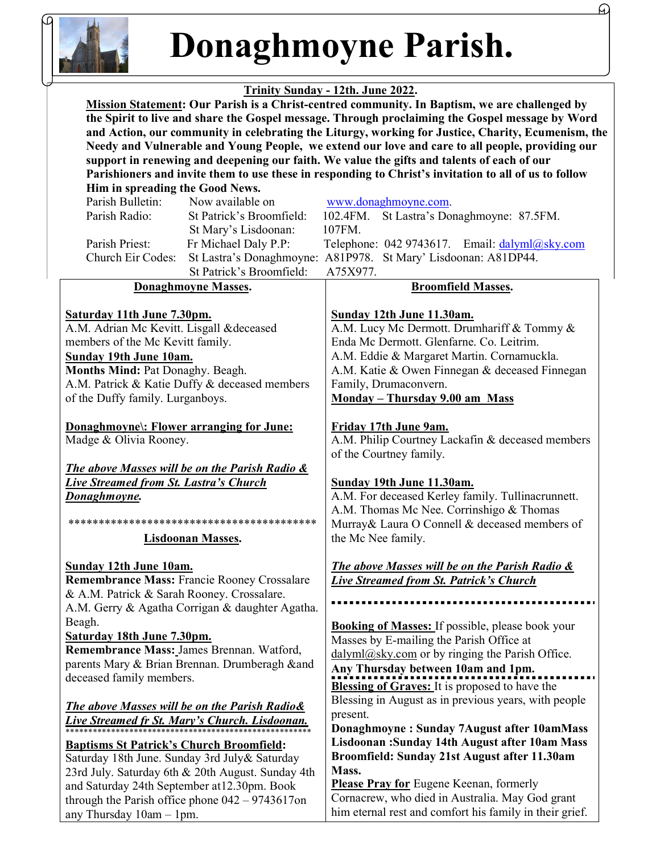

any Thursday 10am – 1pm.

Donaghmoyne Parish.

Æ

## Trinity Sunday - 12th. June 2022.

 Mission Statement: Our Parish is a Christ-centred community. In Baptism, we are challenged by the Spirit to live and share the Gospel message. Through proclaiming the Gospel message by Word and Action, our community in celebrating the Liturgy, working for Justice, Charity, Ecumenism, the Needy and Vulnerable and Young People, we extend our love and care to all people, providing our support in renewing and deepening our faith. We value the gifts and talents of each of our Parishioners and invite them to use these in responding to Christ's invitation to all of us to follow

| Him in spreading the Good News.                                   |                          |                                                                    |
|-------------------------------------------------------------------|--------------------------|--------------------------------------------------------------------|
| Parish Bulletin:                                                  | Now available on         | www.donaghmoyne.com.                                               |
| Parish Radio:                                                     | St Patrick's Broomfield: | St Lastra's Donaghmoyne: 87.5FM.<br>102.4FM.                       |
|                                                                   | St Mary's Lisdoonan:     | 107FM.                                                             |
| Parish Priest:                                                    | Fr Michael Daly P.P:     | Telephone: 042 9743617. Email: dalyml@sky.com                      |
| Church Eir Codes:                                                 |                          | St Lastra's Donaghmoyne: A81P978. St Mary' Lisdoonan: A81DP44.     |
|                                                                   | St Patrick's Broomfield: | A75X977.                                                           |
| <b>Donaghmoyne Masses.</b>                                        |                          | <b>Broomfield Masses.</b>                                          |
|                                                                   |                          |                                                                    |
| Saturday 11th June 7.30pm.                                        |                          | Sunday 12th June 11.30am.                                          |
| A.M. Adrian Mc Kevitt. Lisgall &deceased                          |                          | A.M. Lucy Mc Dermott. Drumhariff & Tommy &                         |
| members of the Mc Kevitt family.                                  |                          | Enda Mc Dermott. Glenfarne. Co. Leitrim.                           |
| <b>Sunday 19th June 10am.</b>                                     |                          | A.M. Eddie & Margaret Martin. Cornamuckla.                         |
| Months Mind: Pat Donaghy. Beagh.                                  |                          | A.M. Katie & Owen Finnegan & deceased Finnegan                     |
| A.M. Patrick & Katie Duffy & deceased members                     |                          | Family, Drumaconvern.                                              |
| of the Duffy family. Lurganboys.                                  |                          | Monday - Thursday 9.00 am Mass                                     |
|                                                                   |                          | Friday 17th June 9am.                                              |
| Donaghmoyne: Flower arranging for June:<br>Madge & Olivia Rooney. |                          | A.M. Philip Courtney Lackafin & deceased members                   |
|                                                                   |                          | of the Courtney family.                                            |
|                                                                   |                          |                                                                    |
| <b>The above Masses will be on the Parish Radio &amp;</b>         |                          | Sunday 19th June 11.30am.                                          |
| <b>Live Streamed from St. Lastra's Church</b>                     |                          | A.M. For deceased Kerley family. Tullinacrunnett.                  |
| Donaghmoyne.                                                      |                          | A.M. Thomas Mc Nee. Corrinshigo & Thomas                           |
|                                                                   |                          | Murray& Laura O Connell & deceased members of                      |
| <b>Lisdoonan Masses.</b>                                          |                          | the Mc Nee family.                                                 |
|                                                                   |                          |                                                                    |
| <b>Sunday 12th June 10am.</b>                                     |                          | The above Masses will be on the Parish Radio &                     |
| Remembrance Mass: Francie Rooney Crossalare                       |                          | <b>Live Streamed from St. Patrick's Church</b>                     |
| & A.M. Patrick & Sarah Rooney. Crossalare.                        |                          |                                                                    |
| A.M. Gerry & Agatha Corrigan & daughter Agatha.                   |                          |                                                                    |
| Beagh.                                                            |                          | Booking of Masses: If possible, please book your                   |
| <b>Saturday 18th June 7.30pm.</b>                                 |                          | Masses by E-mailing the Parish Office at                           |
| Remembrance Mass: James Brennan. Watford,                         |                          | $\frac{ \text{dalyml}(Q)$ sky.com or by ringing the Parish Office. |
| parents Mary & Brian Brennan. Drumberagh ∧                        |                          | Any Thursday between 10am and 1pm.                                 |
| deceased family members.                                          |                          |                                                                    |
|                                                                   |                          | <b>Blessing of Graves:</b> It is proposed to have the              |
| The above Masses will be on the Parish Radio&                     |                          | Blessing in August as in previous years, with people               |
|                                                                   |                          | present.                                                           |
|                                                                   |                          | Donaghmoyne: Sunday 7August after 10amMass                         |
| <b>Baptisms St Patrick's Church Broomfield:</b>                   |                          | Lisdoonan: Sunday 14th August after 10am Mass                      |
| Saturday 18th June. Sunday 3rd July& Saturday                     |                          | Broomfield: Sunday 21st August after 11.30am                       |
| 23rd July. Saturday 6th & 20th August. Sunday 4th                 |                          | Mass.                                                              |
| and Saturday 24th September at 12.30pm. Book                      |                          | <b>Please Pray for</b> Eugene Keenan, formerly                     |
| through the Parish office phone $042 - 9743617$ on                |                          | Cornacrew, who died in Australia. May God grant                    |
| any Thursday $10$ am $-1$ pm.                                     |                          | him eternal rest and comfort his family in their grief.            |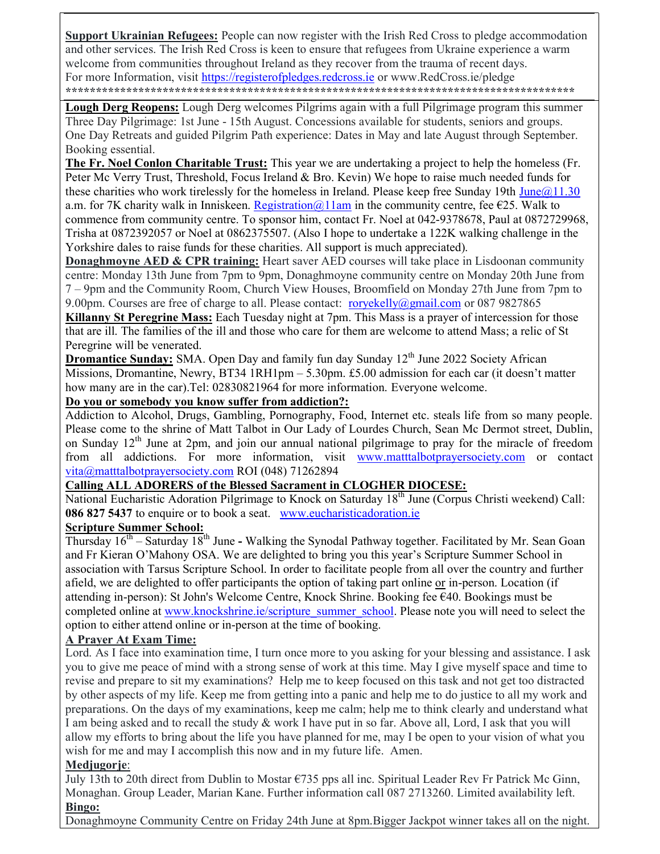Support Ukrainian Refugees: People can now register with the Irish Red Cross to pledge accommodation and other services. The Irish Red Cross is keen to ensure that refugees from Ukraine experience a warm welcome from communities throughout Ireland as they recover from the trauma of recent days. For more Information, visit https://registerofpledges.redcross.ie or www.RedCross.ie/pledge \*\*\*\*\*\*\*\*\*\*\*\*\*\*\*\*\*\*\*\*\*\*\*\*\*\*\*\*\*\*\*\*\*\*\*\*\*\*\*\*\*\*\*\*\*\*\*\*\*\*\*\*\*\*\*\*\*\*\*\*\*\*\*\*\*\*\*\*\*\*\*\*\*\*\*\*\*\*\*\*\*\*\*\*

Lough Derg Reopens: Lough Derg welcomes Pilgrims again with a full Pilgrimage program this summer Three Day Pilgrimage: 1st June - 15th August. Concessions available for students, seniors and groups. One Day Retreats and guided Pilgrim Path experience: Dates in May and late August through September. Booking essential.

The Fr. Noel Conlon Charitable Trust: This year we are undertaking a project to help the homeless (Fr. Peter Mc Verry Trust, Threshold, Focus Ireland & Bro. Kevin) We hope to raise much needed funds for these charities who work tirelessly for the homeless in Ireland. Please keep free Sunday 19th June $@11.30$ a.m. for 7K charity walk in Inniskeen. Registration  $Q(1)$  am in the community centre, fee  $E(25)$ . Walk to commence from community centre. To sponsor him, contact Fr. Noel at 042-9378678, Paul at 0872729968, Trisha at 0872392057 or Noel at 0862375507. (Also I hope to undertake a 122K walking challenge in the Yorkshire dales to raise funds for these charities. All support is much appreciated).

**Donaghmoyne AED & CPR training:** Heart saver AED courses will take place in Lisdoonan community centre: Monday 13th June from 7pm to 9pm, Donaghmoyne community centre on Monday 20th June from 7 – 9pm and the Community Room, Church View Houses, Broomfield on Monday 27th June from 7pm to 9.00pm. Courses are free of charge to all. Please contact: roryekelly@gmail.com or 087 9827865

Killanny St Peregrine Mass: Each Tuesday night at 7pm. This Mass is a prayer of intercession for those that are ill. The families of the ill and those who care for them are welcome to attend Mass; a relic of St Peregrine will be venerated.

**Dromantice Sunday:** SMA. Open Day and family fun day Sunday 12<sup>th</sup> June 2022 Society African Missions, Dromantine, Newry, BT34 1RH1pm – 5.30pm. £5.00 admission for each car (it doesn't matter how many are in the car).Tel: 02830821964 for more information. Everyone welcome.

#### Do you or somebody you know suffer from addiction?:

Addiction to Alcohol, Drugs, Gambling, Pornography, Food, Internet etc. steals life from so many people. Please come to the shrine of Matt Talbot in Our Lady of Lourdes Church, Sean Mc Dermot street, Dublin, on Sunday  $12<sup>th</sup>$  June at 2pm, and join our annual national pilgrimage to pray for the miracle of freedom from all addictions. For more information, visit www.matttalbotprayersociety.com or contact vita@matttalbotprayersociety.com ROI (048) 71262894

## Calling ALL ADORERS of the Blessed Sacrament in CLOGHER DIOCESE:

National Eucharistic Adoration Pilgrimage to Knock on Saturday 18<sup>th</sup> June (Corpus Christi weekend) Call: 086 827 5437 to enquire or to book a seat. www.eucharisticadoration.ie

## Scripture Summer School:

Thursday  $16^{th}$  – Saturday 18<sup>th</sup> June - Walking the Synodal Pathway together. Facilitated by Mr. Sean Goan and Fr Kieran O'Mahony OSA. We are delighted to bring you this year's Scripture Summer School in association with Tarsus Scripture School. In order to facilitate people from all over the country and further afield, we are delighted to offer participants the option of taking part online or in-person. Location (if attending in-person): St John's Welcome Centre, Knock Shrine. Booking fee €40. Bookings must be completed online at www.knockshrine.ie/scripture\_summer\_school. Please note you will need to select the option to either attend online or in-person at the time of booking.

## A Prayer At Exam Time:

Lord. As I face into examination time, I turn once more to you asking for your blessing and assistance. I ask you to give me peace of mind with a strong sense of work at this time. May I give myself space and time to revise and prepare to sit my examinations? Help me to keep focused on this task and not get too distracted by other aspects of my life. Keep me from getting into a panic and help me to do justice to all my work and preparations. On the days of my examinations, keep me calm; help me to think clearly and understand what I am being asked and to recall the study & work I have put in so far. Above all, Lord, I ask that you will allow my efforts to bring about the life you have planned for me, may I be open to your vision of what you wish for me and may I accomplish this now and in my future life. Amen.

#### Medjugorje:

July 13th to 20th direct from Dublin to Mostar  $\epsilon$ 735 pps all inc. Spiritual Leader Rev Fr Patrick Mc Ginn, Monaghan. Group Leader, Marian Kane. Further information call 087 2713260. Limited availability left. Bingo:

Donaghmoyne Community Centre on Friday 24th June at 8pm.Bigger Jackpot winner takes all on the night.